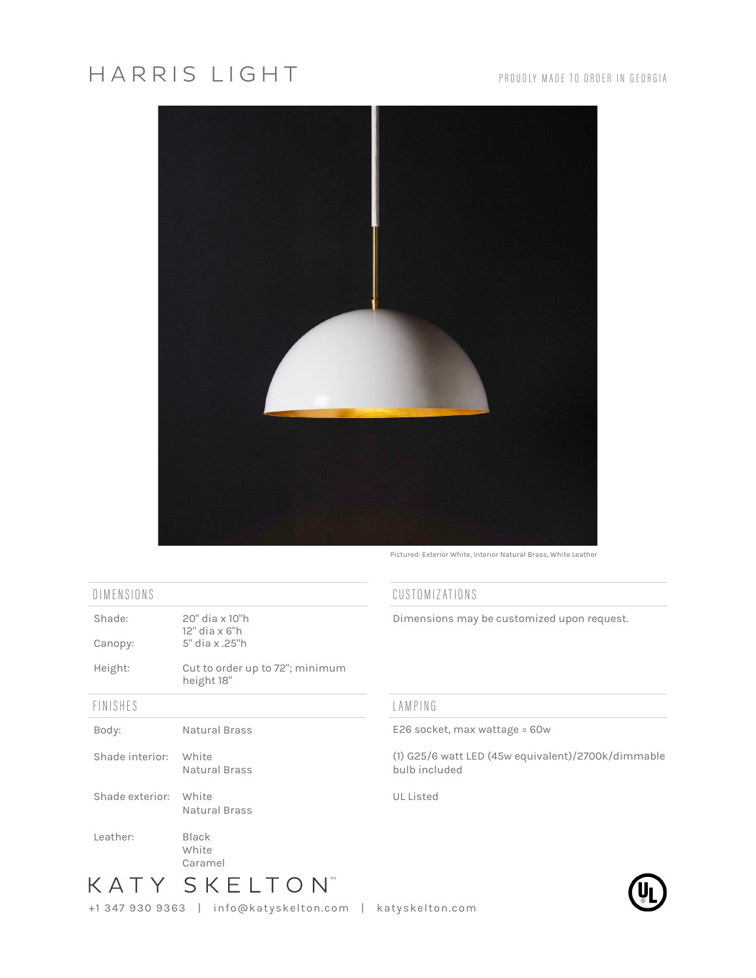## HARRIS LIGHT



Pictured: Exterior White, Interior Natural Brass, White Leather

## DIMENSIONS

| Shade:                | 20" dia x 10"h<br>12" dia x 6"h<br>5" dia x .25"h |
|-----------------------|---------------------------------------------------|
| Canopy:               |                                                   |
| Height:               | Cut to order up to 72"; minimum<br>height 18"     |
| FINISHES              |                                                   |
| Body:                 | Natural Brass                                     |
| Shade interior: White | Natural Brass                                     |
| Shade exterior: White | Natural Brass                                     |
| Leather:              | Black<br>White<br>Caramel                         |

## CUSTOMIZATIONS

Dimensions may be customized upon request.

## LAMPING

E26 socket, max wattage = 60w

(1) G25/6 watt LED (45w equivalent)/2700k/dimmable bulb included

UL Listed



KATY SKELTON<sup>®</sup>

+1 347 930 9363 | info@katyskelton.com | katyskelton.com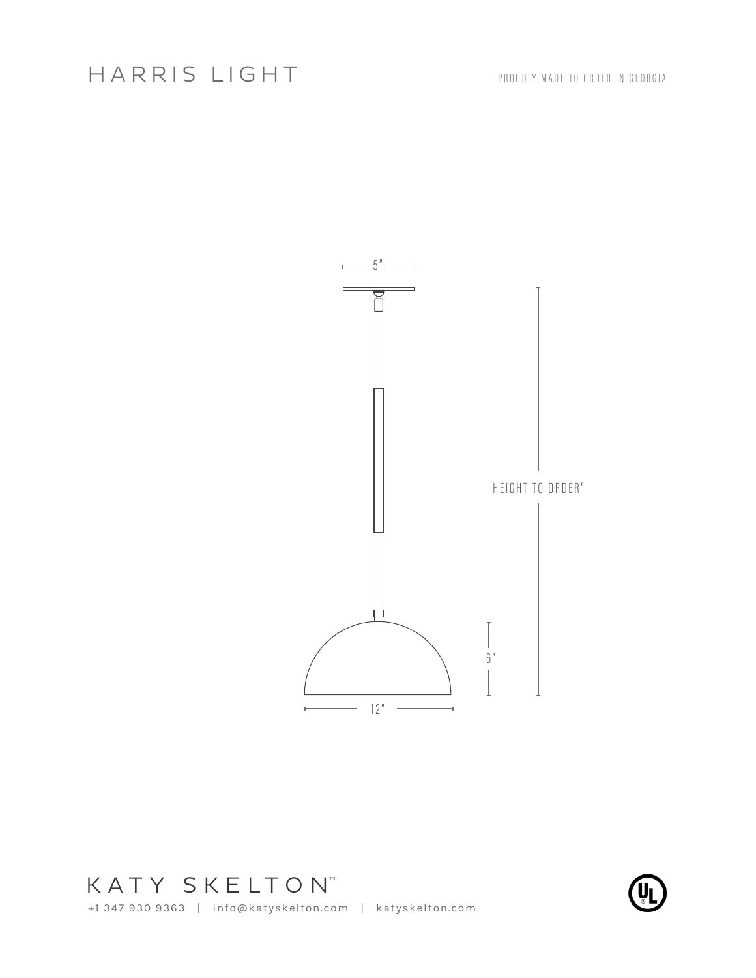

+1 347 930 9363 | info@katyskelton.com | katyskelton.com KATY SKELTON<sup>®</sup>